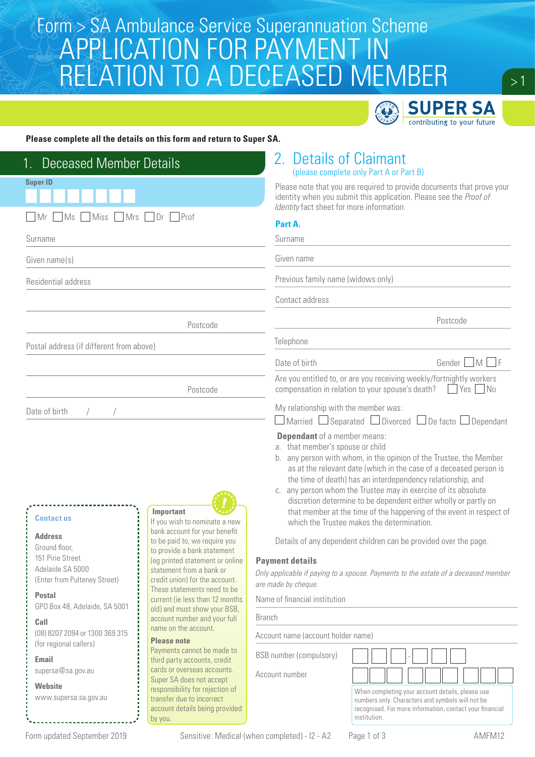# Form > SA Ambulance Service Superannuation Scheme<br>A DDI IC ATIONI EOR DAVN JENIT IN APPLICATION FOR PAYMENT IN RELATION TO A DECEASED MEMBER



### **Please complete all the details on this form and return to Super SA.**

| <b>Deceased Member Details</b>                                                                                                                                                 |                                                                                                                                                                                                                                                                                                                | 2. Details of Claimant<br>(please complete only Part A or Part B)                                                                                                                                                                                                                                                                                                                                                                                                                                                                                                                                                                                                                                                                                                                        |                                                                                                                                                                  |
|--------------------------------------------------------------------------------------------------------------------------------------------------------------------------------|----------------------------------------------------------------------------------------------------------------------------------------------------------------------------------------------------------------------------------------------------------------------------------------------------------------|------------------------------------------------------------------------------------------------------------------------------------------------------------------------------------------------------------------------------------------------------------------------------------------------------------------------------------------------------------------------------------------------------------------------------------------------------------------------------------------------------------------------------------------------------------------------------------------------------------------------------------------------------------------------------------------------------------------------------------------------------------------------------------------|------------------------------------------------------------------------------------------------------------------------------------------------------------------|
| <b>Super ID</b>                                                                                                                                                                |                                                                                                                                                                                                                                                                                                                | Please note that you are required to provide documents that prove your<br>identity when you submit this application. Please see the Proof of<br>Identity fact sheet for more information.                                                                                                                                                                                                                                                                                                                                                                                                                                                                                                                                                                                                |                                                                                                                                                                  |
| <b>Mrs</b><br>Prof<br>Ms<br>Miss<br>Dr<br>l IMr                                                                                                                                |                                                                                                                                                                                                                                                                                                                | Part A.                                                                                                                                                                                                                                                                                                                                                                                                                                                                                                                                                                                                                                                                                                                                                                                  |                                                                                                                                                                  |
| Surname                                                                                                                                                                        |                                                                                                                                                                                                                                                                                                                | Surname                                                                                                                                                                                                                                                                                                                                                                                                                                                                                                                                                                                                                                                                                                                                                                                  |                                                                                                                                                                  |
| Given name(s)                                                                                                                                                                  |                                                                                                                                                                                                                                                                                                                | Given name                                                                                                                                                                                                                                                                                                                                                                                                                                                                                                                                                                                                                                                                                                                                                                               |                                                                                                                                                                  |
| Residential address                                                                                                                                                            |                                                                                                                                                                                                                                                                                                                | Previous family name (widows only)                                                                                                                                                                                                                                                                                                                                                                                                                                                                                                                                                                                                                                                                                                                                                       |                                                                                                                                                                  |
|                                                                                                                                                                                |                                                                                                                                                                                                                                                                                                                | Contact address                                                                                                                                                                                                                                                                                                                                                                                                                                                                                                                                                                                                                                                                                                                                                                          |                                                                                                                                                                  |
| Postcode                                                                                                                                                                       |                                                                                                                                                                                                                                                                                                                |                                                                                                                                                                                                                                                                                                                                                                                                                                                                                                                                                                                                                                                                                                                                                                                          | Postcode                                                                                                                                                         |
| Postal address (if different from above)                                                                                                                                       |                                                                                                                                                                                                                                                                                                                | Telephone                                                                                                                                                                                                                                                                                                                                                                                                                                                                                                                                                                                                                                                                                                                                                                                |                                                                                                                                                                  |
|                                                                                                                                                                                |                                                                                                                                                                                                                                                                                                                | Date of birth                                                                                                                                                                                                                                                                                                                                                                                                                                                                                                                                                                                                                                                                                                                                                                            | Gender MF                                                                                                                                                        |
|                                                                                                                                                                                | Postcode                                                                                                                                                                                                                                                                                                       | Are you entitled to, or are you receiving weekly/fortnightly workers<br>compensation in relation to your spouse's death?                                                                                                                                                                                                                                                                                                                                                                                                                                                                                                                                                                                                                                                                 | $Yes$ No                                                                                                                                                         |
| Date of birth                                                                                                                                                                  |                                                                                                                                                                                                                                                                                                                | My relationship with the member was:<br>$\Box$ Married $\Box$ Separated $\Box$ Divorced $\Box$ De facto $\Box$ Dependant                                                                                                                                                                                                                                                                                                                                                                                                                                                                                                                                                                                                                                                                 |                                                                                                                                                                  |
| <b>Contact us</b><br><b>Address</b><br>Ground floor,<br>151 Pirie Street<br>Adelaide SA 5000<br>(Enter from Pulteney Street)<br><b>Postal</b><br>GPO Box 48, Adelaide, SA 5001 | Important<br>If you wish to nominate a new<br>bank account for your benefit<br>to be paid to, we require you<br>to provide a bank statement<br>(eg printed statement or online<br>statement from a bank or<br>credit union) for the account.<br>These statements need to be<br>current (ie less than 12 months | <b>Dependant</b> of a member means:<br>a. that member's spouse or child<br>b. any person with whom, in the opinion of the Trustee, the Member<br>as at the relevant date (which in the case of a deceased person is<br>the time of death) has an interdependency relationship, and<br>c. any person whom the Trustee may in exercise of its absolute<br>discretion determine to be dependent either wholly or partly on<br>that member at the time of the happening of the event in respect of<br>which the Trustee makes the determination.<br>Details of any dependent children can be provided over the page.<br><b>Payment details</b><br>Only applicable if paying to a spouse. Payments to the estate of a deceased member<br>are made by cheque.<br>Name of financial institution |                                                                                                                                                                  |
| old) and must show your BSB,<br>account number and your full<br>Call                                                                                                           |                                                                                                                                                                                                                                                                                                                | <b>Branch</b>                                                                                                                                                                                                                                                                                                                                                                                                                                                                                                                                                                                                                                                                                                                                                                            |                                                                                                                                                                  |
| (08) 8207 2094 or 1300 369 315<br>(for regional callers)                                                                                                                       | name on the account.<br><b>Please note</b>                                                                                                                                                                                                                                                                     | Account name (account holder name)                                                                                                                                                                                                                                                                                                                                                                                                                                                                                                                                                                                                                                                                                                                                                       |                                                                                                                                                                  |
| Email                                                                                                                                                                          | Payments cannot be made to<br>third party accounts, credit                                                                                                                                                                                                                                                     | <b>BSB</b> number (compulsory)                                                                                                                                                                                                                                                                                                                                                                                                                                                                                                                                                                                                                                                                                                                                                           |                                                                                                                                                                  |
| supersa@sa.gov.au                                                                                                                                                              | cards or overseas accounts.<br>Super SA does not accept                                                                                                                                                                                                                                                        | Account number                                                                                                                                                                                                                                                                                                                                                                                                                                                                                                                                                                                                                                                                                                                                                                           |                                                                                                                                                                  |
| <b>Website</b><br>www.supersa.sa.gov.au                                                                                                                                        | responsibility for rejection of<br>transfer due to incorrect<br>account details being provided<br>by you.                                                                                                                                                                                                      | institution.                                                                                                                                                                                                                                                                                                                                                                                                                                                                                                                                                                                                                                                                                                                                                                             | When completing your account details, please use<br>numbers only. Characters and symbols will not be<br>recognised. For more information, contact your financial |

Form updated September 2019 Sensitive: Medical (when completed) - I2 - A2 Page 1 of 3 AMFM12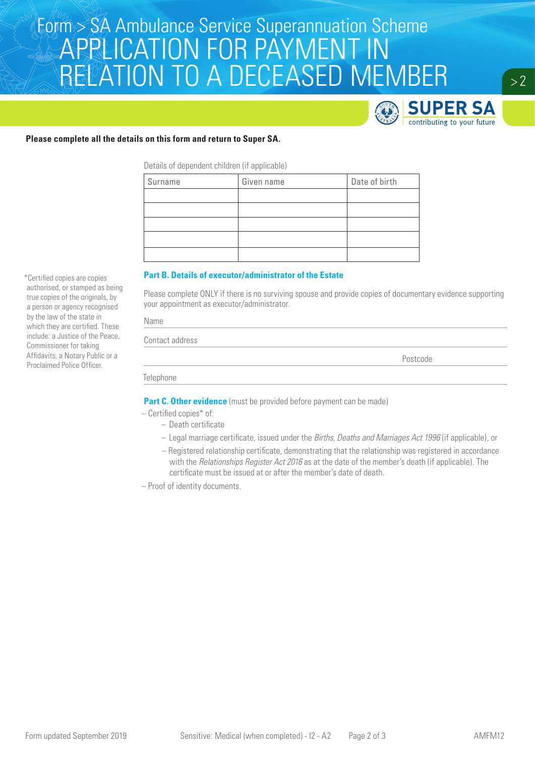# Form > SA Ambulance Service Superannuation Scheme<br>A DDI IC ATIONI EOR DAVN JENIT IN APPLICATION FOR PAYMENT IN RELATION TO A DECEASED MEMBER



 $> 2$ 

### **Please complete all the details on this form and return to Super SA.**

Details of dependent children (if applicable)

| Surname | Given name | Date of birth |
|---------|------------|---------------|
|         |            |               |
|         |            |               |
|         |            |               |
|         |            |               |
|         |            |               |

#### **Part B. Details of executor/administrator of the Estate**

Please complete ONLY if there is no surviving spouse and provide copies of documentary evidence supporting your appointment as executor/administrator.

| Contact address |  |          |
|-----------------|--|----------|
|                 |  | Postcode |

Telephone

**Part C. Other evidence** (must be provided before payment can be made)

– Certified copies\* of:

- Death certificate
- Legal marriage certificate, issued under the *Births, Deaths and Marriages Act 1996* (if applicable), or
- Registered relationship certificate, demonstrating that the relationship was registered in accordance with the *Relationships Register Act 2016* as at the date of the member's death (if applicable). The certificate must be issued at or after the member's date of death.

– Proof of identity documents.

authorised, or stamped as being true copies of the originals, by a person or agency recognised by the law of the state in which they are certified. These include: a Justice of the Peace, Commissioner for taking Affidavits, a Notary Public or a Proclaimed Police Officer.

\*Certified copies are copies